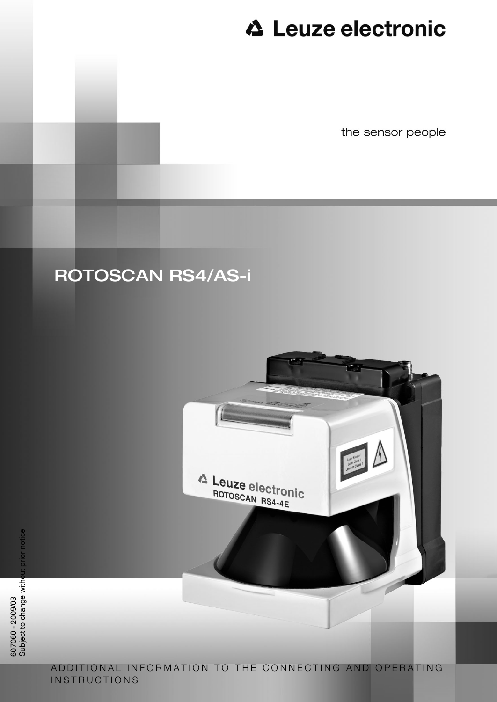the sensor people

## ROTOSCAN RS4/AS-i



ADDITIONAL INFORMATION TO THE CONNECTING AND OPERATING **INSTRUCTIONS**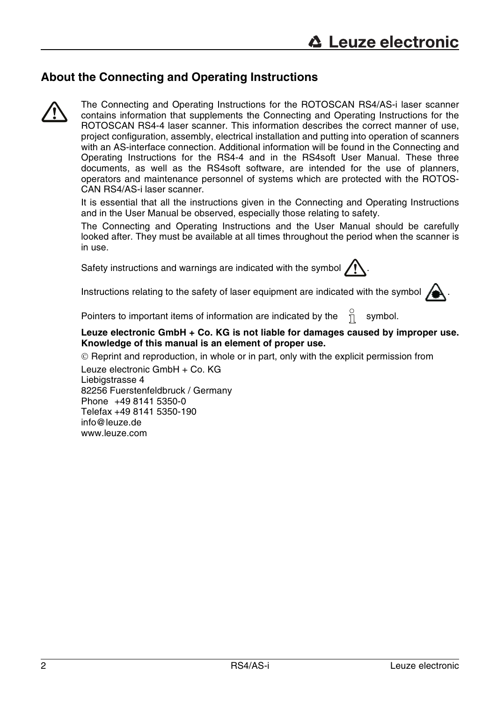### **About the Connecting and Operating Instructions**



The Connecting and Operating Instructions for the ROTOSCAN RS4/AS-i laser scanner contains information that supplements the Connecting and Operating Instructions for the ROTOSCAN RS4-4 laser scanner. This information describes the correct manner of use, project configuration, assembly, electrical installation and putting into operation of scanners with an AS-interface connection. Additional information will be found in the Connecting and Operating Instructions for the RS4-4 and in the RS4soft User Manual. These three documents, as well as the RS4soft software, are intended for the use of planners, operators and maintenance personnel of systems which are protected with the ROTOS-CAN RS4/AS-i laser scanner.

It is essential that all the instructions given in the Connecting and Operating Instructions and in the User Manual be observed, especially those relating to safety.

The Connecting and Operating Instructions and the User Manual should be carefully looked after. They must be available at all times throughout the period when the scanner is in use.

Safety instructions and warnings are indicated with the symbol  $\sqrt{N}$ 



Instructions relating to the safety of laser equipment are indicated with the symbol  $\sum$ 

Pointers to important items of information are indicated by the  $\theta$  symbol.

### **Leuze electronic GmbH + Co. KG is not liable for damages caused by improper use. Knowledge of this manual is an element of proper use.**

© Reprint and reproduction, in whole or in part, only with the explicit permission from Leuze electronic GmbH + Co. KG Liebigstrasse 4 82256 Fuerstenfeldbruck / Germany Phone +49 8141 5350-0 Telefax +49 8141 5350-190 info@leuze.de www.leuze.com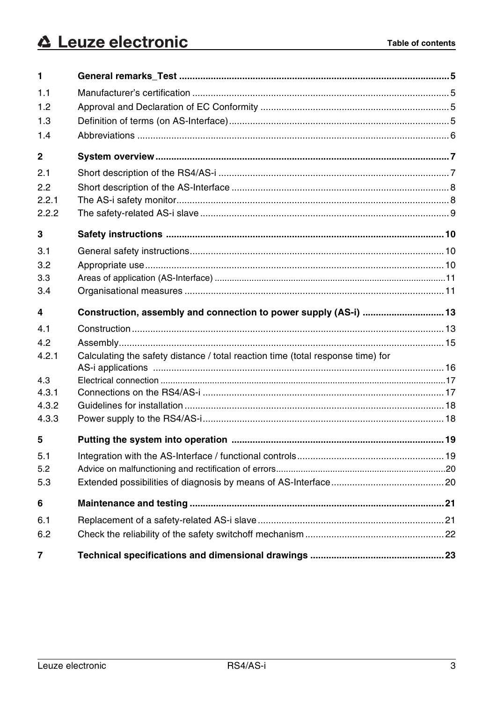| 1              |                                                                                 |  |
|----------------|---------------------------------------------------------------------------------|--|
| 1.1            |                                                                                 |  |
| 1.2            |                                                                                 |  |
| 1.3            |                                                                                 |  |
| 1.4            |                                                                                 |  |
| 2              |                                                                                 |  |
| 2.1            |                                                                                 |  |
| 2.2            |                                                                                 |  |
| 2.2.1          |                                                                                 |  |
| 2.2.2          |                                                                                 |  |
| 3              |                                                                                 |  |
| 3.1            |                                                                                 |  |
| 3.2            |                                                                                 |  |
| 3.3            |                                                                                 |  |
| 3.4            |                                                                                 |  |
| 4              | Construction, assembly and connection to power supply (AS-i)  13                |  |
| 4.1            |                                                                                 |  |
| 4.2            |                                                                                 |  |
| 4.2.1          | Calculating the safety distance / total reaction time (total response time) for |  |
|                |                                                                                 |  |
| 4.3            |                                                                                 |  |
| 4.3.1<br>4.3.2 |                                                                                 |  |
| 4.3.3          |                                                                                 |  |
|                |                                                                                 |  |
| 5              |                                                                                 |  |
| 5.1            |                                                                                 |  |
| 5.2            |                                                                                 |  |
| 5.3            |                                                                                 |  |
| 6              |                                                                                 |  |
| 6.1            |                                                                                 |  |
| 6.2            |                                                                                 |  |
| 7              |                                                                                 |  |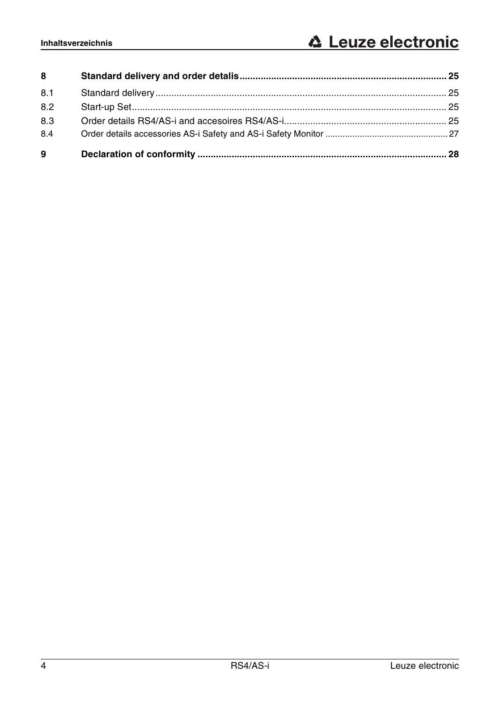| 8   |  |
|-----|--|
| 8.1 |  |
| 8.2 |  |
| 8.3 |  |
| 8.4 |  |
| 9   |  |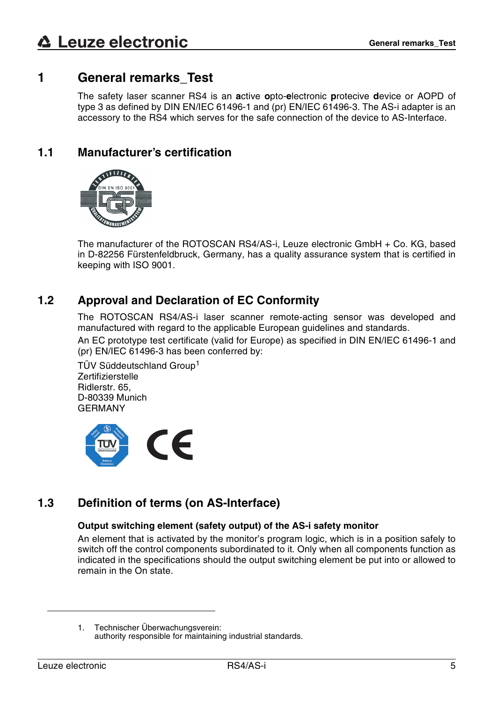### <span id="page-4-0"></span>**1 General remarks\_Test**

The safety laser scanner RS4 is an **a**ctive **o**pto-**e**lectronic **p**rotecive **d**evice or AOPD of type 3 as defined by DIN EN/IEC 61496-1 and (pr) EN/IEC 61496-3. The AS-i adapter is an accessory to the RS4 which serves for the safe connection of the device to AS-Interface.

### <span id="page-4-1"></span>**1.1 Manufacturer's certification**



The manufacturer of the ROTOSCAN RS4/AS-i, Leuze electronic GmbH + Co. KG, based in D-82256 Fürstenfeldbruck, Germany, has a quality assurance system that is certified in keeping with ISO 9001.

### <span id="page-4-2"></span>**1.2 Approval and Declaration of EC Conformity**

The ROTOSCAN RS4/AS-i laser scanner remote-acting sensor was developed and manufactured with regard to the applicable European guidelines and standards.

An EC prototype test certificate (valid for Europe) as specified in DIN EN/IEC 61496-1 and (pr) EN/IEC 61496-3 has been conferred by:

TÜV Süddeutschland Group<sup>1</sup> **Zertifizierstelle** Ridlerstr. 65, D-80339 Munich GERMANY



### <span id="page-4-3"></span>**1.3 Definition of terms (on AS-Interface)**

### **Output switching element (safety output) of the AS-i safety monitor**

An element that is activated by the monitor's program logic, which is in a position safely to switch off the control components subordinated to it. Only when all components function as indicated in the specifications should the output switching element be put into or allowed to remain in the On state.

<sup>1.</sup> Technischer Überwachungsverein: authority responsible for maintaining industrial standards.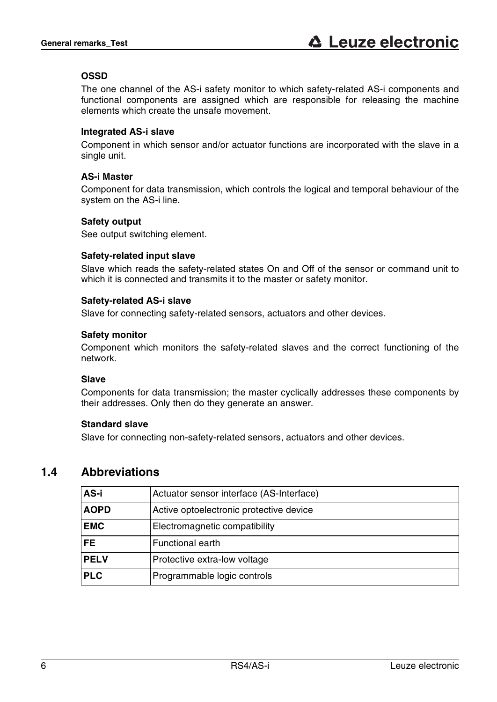### **OSSD**

The one channel of the AS-i safety monitor to which safety-related AS-i components and functional components are assigned which are responsible for releasing the machine elements which create the unsafe movement.

### **Integrated AS-i slave**

Component in which sensor and/or actuator functions are incorporated with the slave in a single unit.

### **AS-i Master**

Component for data transmission, which controls the logical and temporal behaviour of the system on the AS-i line.

### **Safety output**

See output switching element.

### **Safety-related input slave**

Slave which reads the safety-related states On and Off of the sensor or command unit to which it is connected and transmits it to the master or safety monitor.

### **Safety-related AS-i slave**

Slave for connecting safety-related sensors, actuators and other devices.

### **Safety monitor**

Component which monitors the safety-related slaves and the correct functioning of the network.

### **Slave**

Components for data transmission; the master cyclically addresses these components by their addresses. Only then do they generate an answer.

### **Standard slave**

Slave for connecting non-safety-related sensors, actuators and other devices.

### <span id="page-5-0"></span>**1.4 Abbreviations**

| AS-i        | Actuator sensor interface (AS-Interface) |  |
|-------------|------------------------------------------|--|
| <b>AOPD</b> | Active optoelectronic protective device  |  |
| <b>EMC</b>  | Electromagnetic compatibility            |  |
| FE.         | <b>Functional earth</b>                  |  |
| <b>PELV</b> | Protective extra-low voltage             |  |
| <b>PLC</b>  | Programmable logic controls              |  |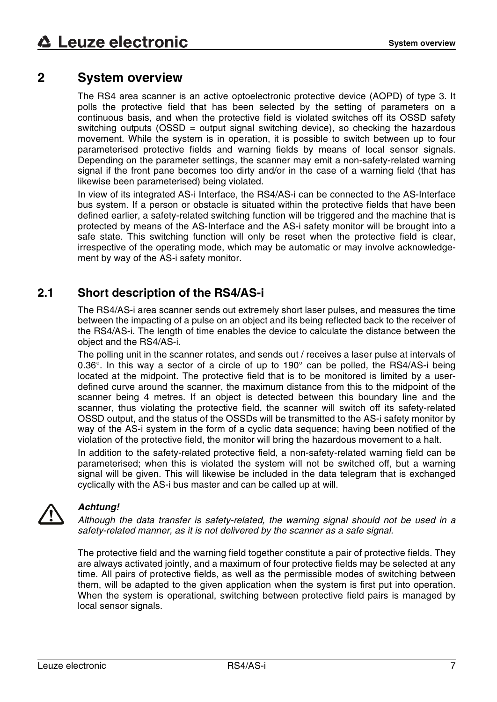### <span id="page-6-0"></span>**2 System overview**

The RS4 area scanner is an active optoelectronic protective device (AOPD) of type 3. It polls the protective field that has been selected by the setting of parameters on a continuous basis, and when the protective field is violated switches off its OSSD safety switching outputs (OSSD = output signal switching device), so checking the hazardous movement. While the system is in operation, it is possible to switch between up to four parameterised protective fields and warning fields by means of local sensor signals. Depending on the parameter settings, the scanner may emit a non-safety-related warning signal if the front pane becomes too dirty and/or in the case of a warning field (that has likewise been parameterised) being violated.

In view of its integrated AS-i Interface, the RS4/AS-i can be connected to the AS-Interface bus system. If a person or obstacle is situated within the protective fields that have been defined earlier, a safety-related switching function will be triggered and the machine that is protected by means of the AS-Interface and the AS-i safety monitor will be brought into a safe state. This switching function will only be reset when the protective field is clear, irrespective of the operating mode, which may be automatic or may involve acknowledgement by way of the AS-i safety monitor.

### <span id="page-6-1"></span>**2.1 Short description of the RS4/AS-i**

The RS4/AS-i area scanner sends out extremely short laser pulses, and measures the time between the impacting of a pulse on an object and its being reflected back to the receiver of the RS4/AS-i. The length of time enables the device to calculate the distance between the object and the RS4/AS-i.

The polling unit in the scanner rotates, and sends out / receives a laser pulse at intervals of 0.36°. In this way a sector of a circle of up to 190° can be polled, the RS4/AS-i being located at the midpoint. The protective field that is to be monitored is limited by a userdefined curve around the scanner, the maximum distance from this to the midpoint of the scanner being 4 metres. If an object is detected between this boundary line and the scanner, thus violating the protective field, the scanner will switch off its safety-related OSSD output, and the status of the OSSDs will be transmitted to the AS-i safety monitor by way of the AS-i system in the form of a cyclic data sequence; having been notified of the violation of the protective field, the monitor will bring the hazardous movement to a halt.

In addition to the safety-related protective field, a non-safety-related warning field can be parameterised; when this is violated the system will not be switched off, but a warning signal will be given. This will likewise be included in the data telegram that is exchanged cyclically with the AS-i bus master and can be called up at will.



### *Achtung!*

*Although the data transfer is safety-related, the warning signal should not be used in a safety-related manner, as it is not delivered by the scanner as a safe signal.*

The protective field and the warning field together constitute a pair of protective fields. They are always activated jointly, and a maximum of four protective fields may be selected at any time. All pairs of protective fields, as well as the permissible modes of switching between them, will be adapted to the given application when the system is first put into operation. When the system is operational, switching between protective field pairs is managed by local sensor signals.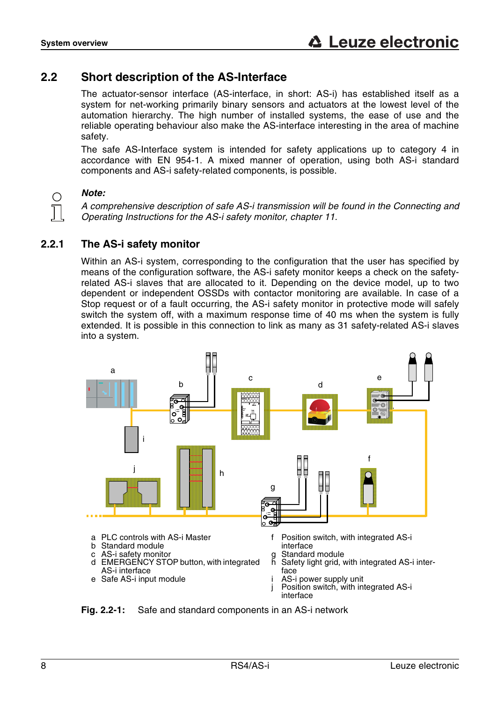### <span id="page-7-0"></span>**2.2 Short description of the AS-Interface**

The actuator-sensor interface (AS-interface, in short: AS-i) has established itself as a system for net-working primarily binary sensors and actuators at the lowest level of the automation hierarchy. The high number of installed systems, the ease of use and the reliable operating behaviour also make the AS-interface interesting in the area of machine safety.

The safe AS-Interface system is intended for safety applications up to category 4 in accordance with EN 954-1. A mixed manner of operation, using both AS-i standard components and AS-i safety-related components, is possible.

### *Note:*

∩

*A comprehensive description of safe AS-i transmission will be found in the Connecting and Operating Instructions for the AS-i safety monitor, chapter 11.* 

### <span id="page-7-1"></span>**2.2.1 The AS-i safety monitor**

Within an AS-i system, corresponding to the configuration that the user has specified by means of the configuration software, the AS-i safety monitor keeps a check on the safetyrelated AS-i slaves that are allocated to it. Depending on the device model, up to two dependent or independent OSSDs with contactor monitoring are available. In case of a Stop request or of a fault occurring, the AS-i safety monitor in protective mode will safely switch the system off, with a maximum response time of 40 ms when the system is fully extended. It is possible in this connection to link as many as 31 safety-related AS-i slaves into a system.



**Fig. 2.2-1:** Safe and standard components in an AS-i network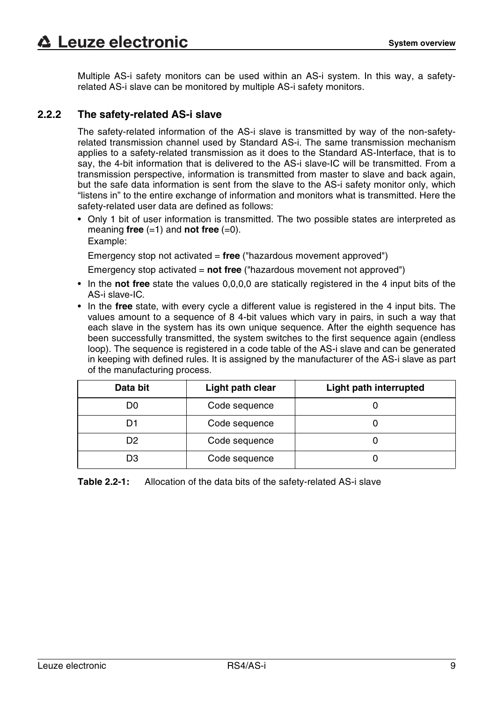Multiple AS-i safety monitors can be used within an AS-i system. In this way, a safetyrelated AS-i slave can be monitored by multiple AS-i safety monitors.

### <span id="page-8-0"></span>**2.2.2 The safety-related AS-i slave**

The safety-related information of the AS-i slave is transmitted by way of the non-safetyrelated transmission channel used by Standard AS-i. The same transmission mechanism applies to a safety-related transmission as it does to the Standard AS-Interface, that is to say, the 4-bit information that is delivered to the AS-i slave-IC will be transmitted. From a transmission perspective, information is transmitted from master to slave and back again, but the safe data information is sent from the slave to the AS-i safety monitor only, which "listens in" to the entire exchange of information and monitors what is transmitted. Here the safety-related user data are defined as follows:

• Only 1 bit of user information is transmitted. The two possible states are interpreted as meaning **free**  $(=1)$  and **not free**  $(=0)$ . Example:

Emergency stop not activated = **free** ("hazardous movement approved")

Emergency stop activated = **not free** ("hazardous movement not approved")

- In the **not free** state the values 0,0,0,0 are statically registered in the 4 input bits of the AS-i slave-IC.
- In the **free** state, with every cycle a different value is registered in the 4 input bits. The values amount to a sequence of 8 4-bit values which vary in pairs, in such a way that each slave in the system has its own unique sequence. After the eighth sequence has been successfully transmitted, the system switches to the first sequence again (endless loop). The sequence is registered in a code table of the AS-i slave and can be generated in keeping with defined rules. It is assigned by the manufacturer of the AS-i slave as part of the manufacturing process.

| Data bit | Light path clear | Light path interrupted |
|----------|------------------|------------------------|
| D0       | Code sequence    |                        |
| D1       | Code sequence    |                        |
| D2       | Code sequence    |                        |
| D3       | Code sequence    |                        |

**Table 2.2-1:** Allocation of the data bits of the safety-related AS-i slave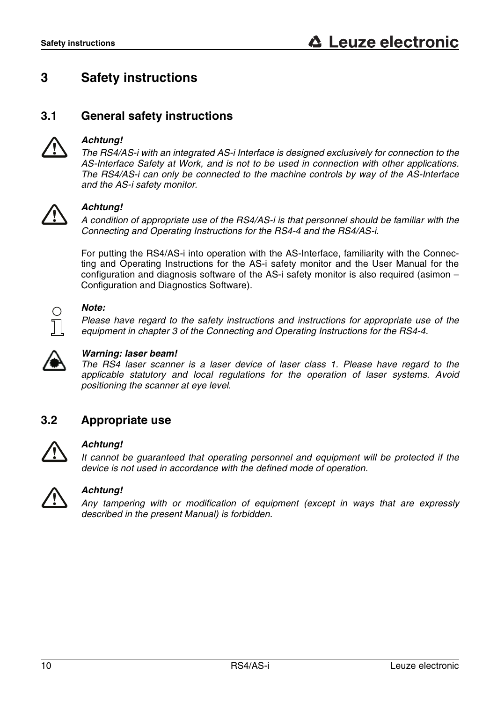### <span id="page-9-0"></span>**3 Safety instructions**

### <span id="page-9-1"></span>**3.1 General safety instructions**



### *Achtung!*

*The RS4/AS-i with an integrated AS-i Interface is designed exclusively for connection to the AS-Interface Safety at Work, and is not to be used in connection with other applications. The RS4/AS-i can only be connected to the machine controls by way of the AS-Interface and the AS-i safety monitor.*



### *Achtung!*

*A condition of appropriate use of the RS4/AS-i is that personnel should be familiar with the Connecting and Operating Instructions for the RS4-4 and the RS4/AS-i.*

For putting the RS4/AS-i into operation with the AS-Interface, familiarity with the Connecting and Operating Instructions for the AS-i safety monitor and the User Manual for the configuration and diagnosis software of the AS-i safety monitor is also required (asimon – Configuration and Diagnostics Software).



### *Note:*

*Please have regard to the safety instructions and instructions for appropriate use of the equipment in chapter 3 of the Connecting and Operating Instructions for the RS4-4.* 



### *Warning: laser beam!*

*The RS4 laser scanner is a laser device of laser class 1. Please have regard to the applicable statutory and local regulations for the operation of laser systems. Avoid positioning the scanner at eye level.*

### <span id="page-9-2"></span>**3.2 Appropriate use**



### *Achtung!*

*It cannot be guaranteed that operating personnel and equipment will be protected if the device is not used in accordance with the defined mode of operation.* 



### *Achtung!*

*Any tampering with or modification of equipment (except in ways that are expressly described in the present Manual) is forbidden.*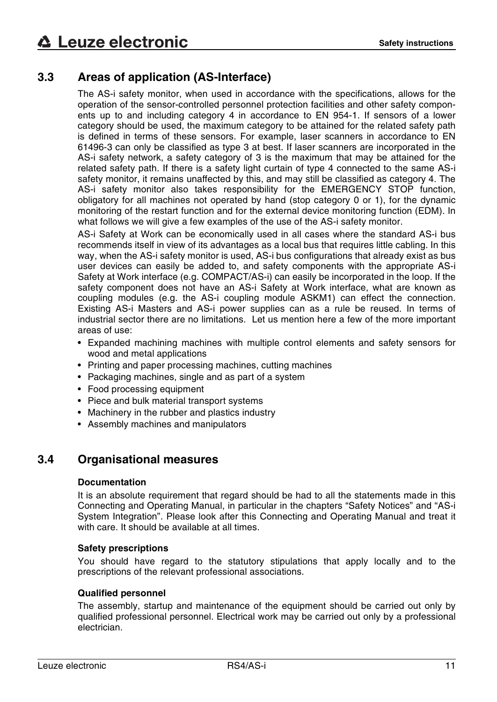### <span id="page-10-0"></span>**3.3 Areas of application (AS-Interface)**

The AS-i safety monitor, when used in accordance with the specifications, allows for the operation of the sensor-controlled personnel protection facilities and other safety components up to and including category 4 in accordance to EN 954-1. If sensors of a lower category should be used, the maximum category to be attained for the related safety path is defined in terms of these sensors. For example, laser scanners in accordance to EN 61496-3 can only be classified as type 3 at best. If laser scanners are incorporated in the AS-i safety network, a safety category of 3 is the maximum that may be attained for the related safety path. If there is a safety light curtain of type 4 connected to the same AS-i safety monitor, it remains unaffected by this, and may still be classified as category 4. The AS-i safety monitor also takes responsibility for the EMERGENCY STOP function, obligatory for all machines not operated by hand (stop category 0 or 1), for the dynamic monitoring of the restart function and for the external device monitoring function (EDM). In what follows we will give a few examples of the use of the AS-i safety monitor.

AS-i Safety at Work can be economically used in all cases where the standard AS-i bus recommends itself in view of its advantages as a local bus that requires little cabling. In this way, when the AS-i safety monitor is used, AS-i bus configurations that already exist as bus user devices can easily be added to, and safety components with the appropriate AS-i Safety at Work interface (e.g. COMPACT/AS-i) can easily be incorporated in the loop. If the safety component does not have an AS-i Safety at Work interface, what are known as coupling modules (e.g. the AS-i coupling module ASKM1) can effect the connection. Existing AS-i Masters and AS-i power supplies can as a rule be reused. In terms of industrial sector there are no limitations. Let us mention here a few of the more important areas of use:

- Expanded machining machines with multiple control elements and safety sensors for wood and metal applications
- Printing and paper processing machines, cutting machines
- Packaging machines, single and as part of a system
- Food processing equipment
- Piece and bulk material transport systems
- Machinery in the rubber and plastics industry
- Assembly machines and manipulators

### <span id="page-10-1"></span>**3.4 Organisational measures**

### **Documentation**

It is an absolute requirement that regard should be had to all the statements made in this Connecting and Operating Manual, in particular in the chapters "Safety Notices" and "AS-i System Integration". Please look after this Connecting and Operating Manual and treat it with care. It should be available at all times.

### **Safety prescriptions**

You should have regard to the statutory stipulations that apply locally and to the prescriptions of the relevant professional associations.

### **Qualified personnel**

The assembly, startup and maintenance of the equipment should be carried out only by qualified professional personnel. Electrical work may be carried out only by a professional electrician.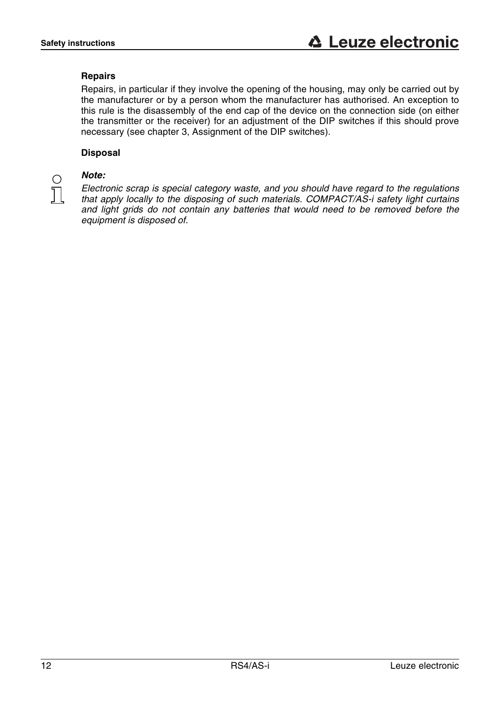### **Repairs**

Repairs, in particular if they involve the opening of the housing, may only be carried out by the manufacturer or by a person whom the manufacturer has authorised. An exception to this rule is the disassembly of the end cap of the device on the connection side (on either the transmitter or the receiver) for an adjustment of the DIP switches if this should prove necessary (see chapter 3, Assignment of the DIP switches).

### **Disposal**

### *Note:*

∩

*Electronic scrap is special category waste, and you should have regard to the regulations that apply locally to the disposing of such materials. COMPACT/AS-i safety light curtains and light grids do not contain any batteries that would need to be removed before the equipment is disposed of.*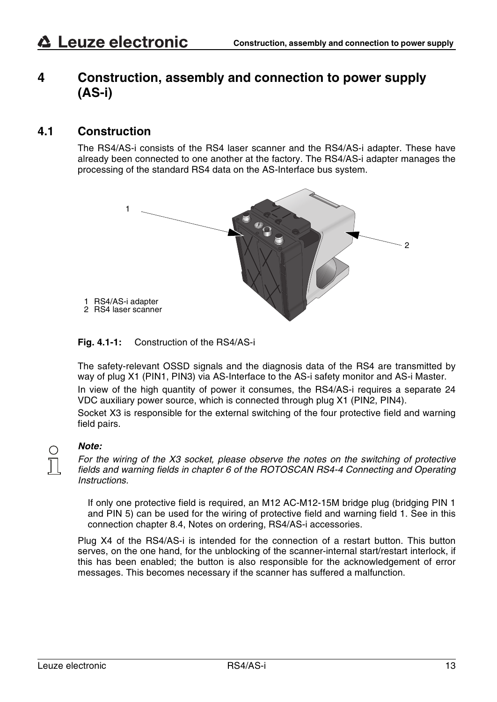### <span id="page-12-0"></span>**4 Construction, assembly and connection to power supply (AS-i)**

### <span id="page-12-1"></span>**4.1 Construction**

The RS4/AS-i consists of the RS4 laser scanner and the RS4/AS-i adapter. These have already been connected to one another at the factory. The RS4/AS-i adapter manages the processing of the standard RS4 data on the AS-Interface bus system.



### **Fig. 4.1-1:** Construction of the RS4/AS-i

The safety-relevant OSSD signals and the diagnosis data of the RS4 are transmitted by way of plug X1 (PIN1, PIN3) via AS-Interface to the AS-i safety monitor and AS-i Master. In view of the high quantity of power it consumes, the RS4/AS-i requires a separate 24 VDC auxiliary power source, which is connected through plug X1 (PIN2, PIN4).

Socket X3 is responsible for the external switching of the four protective field and warning field pairs.

### *Note:*

*For the wiring of the X3 socket, please observe the notes on the switching of protective fields and warning fields in chapter 6 of the ROTOSCAN RS4-4 Connecting and Operating Instructions.* 

If only one protective field is required, an M12 AC-M12-15M bridge plug (bridging PIN 1 and PIN 5) can be used for the wiring of protective field and warning field 1. See in this connection chapter [8.4](#page-26-0), Notes on ordering, RS4/AS-i accessories.

Plug X4 of the RS4/AS-i is intended for the connection of a restart button. This button serves, on the one hand, for the unblocking of the scanner-internal start/restart interlock, if this has been enabled; the button is also responsible for the acknowledgement of error messages. This becomes necessary if the scanner has suffered a malfunction.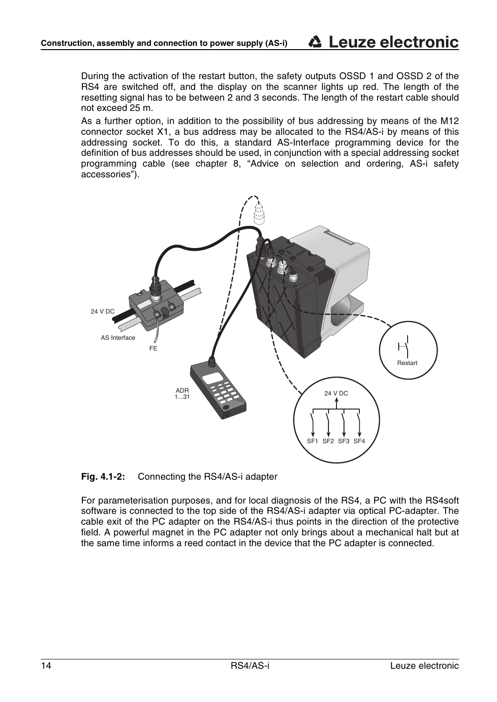During the activation of the restart button, the safety outputs OSSD 1 and OSSD 2 of the RS4 are switched off, and the display on the scanner lights up red. The length of the resetting signal has to be between 2 and 3 seconds. The length of the restart cable should not exceed 25 m.

As a further option, in addition to the possibility of bus addressing by means of the M12 connector socket X1, a bus address may be allocated to the RS4/AS-i by means of this addressing socket. To do this, a standard AS-Interface programming device for the definition of bus addresses should be used, in conjunction with a special addressing socket programming cable (see chapter 8, "Advice on selection and ordering, AS-i safety accessories").



**Fig. 4.1-2:** Connecting the RS4/AS-i adapter

For parameterisation purposes, and for local diagnosis of the RS4, a PC with the RS4soft software is connected to the top side of the RS4/AS-i adapter via optical PC-adapter. The cable exit of the PC adapter on the RS4/AS-i thus points in the direction of the protective field. A powerful magnet in the PC adapter not only brings about a mechanical halt but at the same time informs a reed contact in the device that the PC adapter is connected.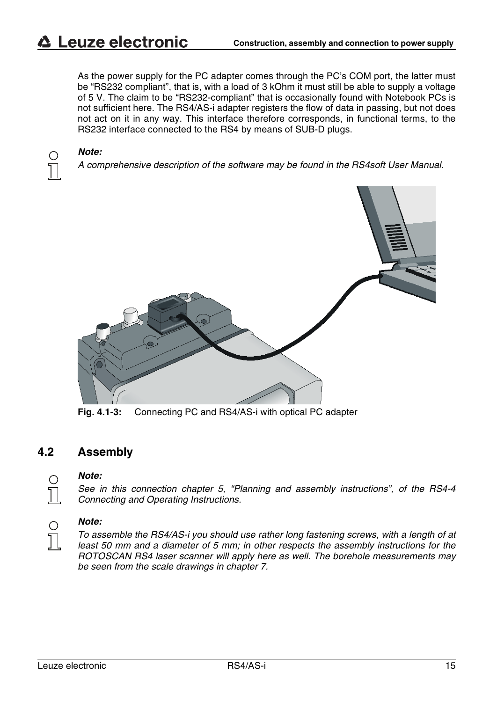As the power supply for the PC adapter comes through the PC's COM port, the latter must be "RS232 compliant", that is, with a load of 3 kOhm it must still be able to supply a voltage of 5 V. The claim to be "RS232-compliant" that is occasionally found with Notebook PCs is not sufficient here. The RS4/AS-i adapter registers the flow of data in passing, but not does not act on it in any way. This interface therefore corresponds, in functional terms, to the RS232 interface connected to the RS4 by means of SUB-D plugs.

#### *Note:*

*A comprehensive description of the software may be found in the RS4soft User Manual.* 



**Fig. 4.1-3:** Connecting PC and RS4/AS-i with optical PC adapter

### <span id="page-14-0"></span>**4.2 Assembly**

### *Note:*

*See in this connection chapter 5, "Planning and assembly instructions", of the RS4-4 Connecting and Operating Instructions.* 

# $\frac{1}{2}$

 $\frac{1}{2}$ 

#### *Note:*

*To assemble the RS4/AS-i you should use rather long fastening screws, with a length of at least 50 mm and a diameter of 5 mm; in other respects the assembly instructions for the ROTOSCAN RS4 laser scanner will apply here as well. The borehole measurements may be seen from the scale drawings in chapter [7](#page-22-0).*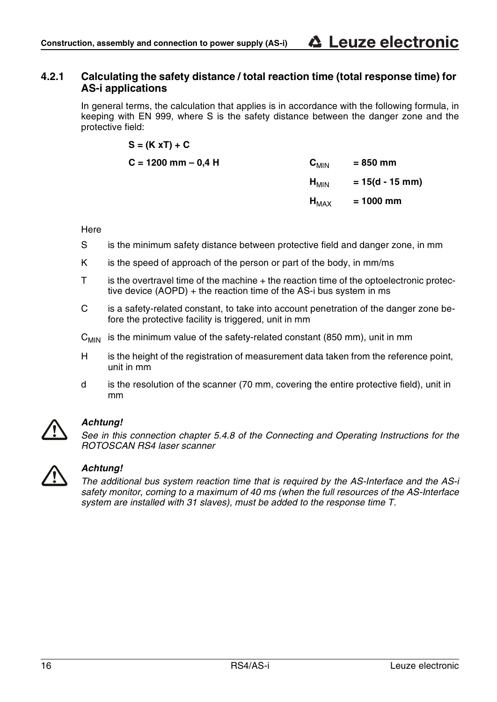### <span id="page-15-0"></span>**4.2.1 Calculating the safety distance / total reaction time (total response time) for AS-i applications**

In general terms, the calculation that applies is in accordance with the following formula, in keeping with EN 999, where S is the safety distance between the danger zone and the protective field:

$$
S = (K xT) + C
$$

| C = 1200 mm – 0.4 H | $\mathbf{C}_{\text{MIN}}$ | = 850 mm          |
|---------------------|---------------------------|-------------------|
|                     | $H_{\text{MIN}}$          | $= 15(d - 15$ mm) |
|                     | $H_{MAX}$                 | $= 1000$ mm       |

**Here** 

- S is the minimum safety distance between protective field and danger zone, in mm
- K is the speed of approach of the person or part of the body, in mm/ms
- T is the overtravel time of the machine + the reaction time of the optoelectronic protective device (AOPD) + the reaction time of the AS-i bus system in ms
- C is a safety-related constant, to take into account penetration of the danger zone before the protective facility is triggered, unit in mm
- $C_{MIN}$  is the minimum value of the safety-related constant (850 mm), unit in mm
- H is the height of the registration of measurement data taken from the reference point, unit in mm
- d is the resolution of the scanner (70 mm, covering the entire protective field), unit in mm



### *Achtung!*

*See in this connection chapter 5.4.8 of the Connecting and Operating Instructions for the ROTOSCAN RS4 laser scanner*



### *Achtung!*

*The additional bus system reaction time that is required by the AS-Interface and the AS-i safety monitor, coming to a maximum of 40 ms (when the full resources of the AS-Interface system are installed with 31 slaves), must be added to the response time T.*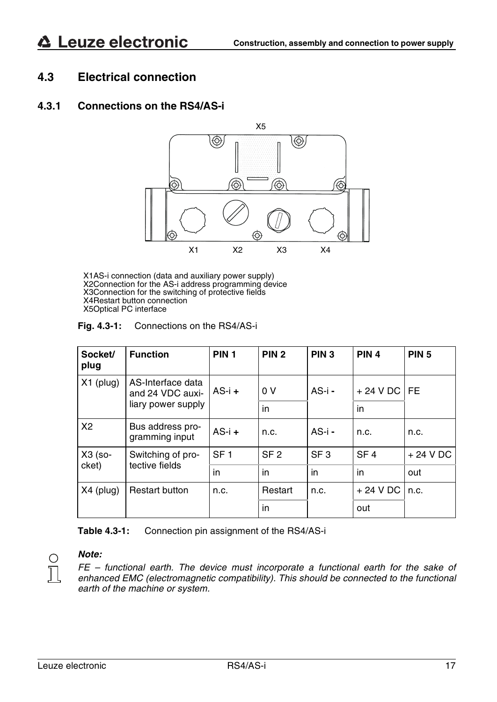### <span id="page-16-0"></span>**4.3 Electrical connection**

### <span id="page-16-1"></span>**4.3.1 Connections on the RS4/AS-i**



X1AS-i connection (data and auxiliary power supply) X2Connection for the AS-i address programming device X3Connection for the switching of protective fields X4Restart button connection X5Optical PC interface

| Fig. $4.3-1$ : | Connections on the RS4/AS-i |  |
|----------------|-----------------------------|--|
|----------------|-----------------------------|--|

| Socket/<br>plug                                      | <b>Function</b>                    | PIN <sub>1</sub> | PIN <sub>2</sub> | PIN <sub>3</sub> | PIN <sub>4</sub> | <b>PIN 5</b> |
|------------------------------------------------------|------------------------------------|------------------|------------------|------------------|------------------|--------------|
| $X1$ (plug)<br>AS-Interface data<br>and 24 VDC auxi- | $AS-i +$                           | 0V               | $AS - i -$       | $+24$ V DC       | I FE             |              |
|                                                      | liary power supply                 |                  | in               |                  | in               |              |
| X2                                                   | Bus address pro-<br>gramming input | $AS-i +$         | n.c.             | $AS - i -$       | n.c.             | n.c.         |
| X3 (so-                                              | Switching of pro-                  | SF <sub>1</sub>  | SF <sub>2</sub>  | SF <sub>3</sub>  | SF <sub>4</sub>  | $+24$ V DC   |
| tective fields<br>cket)                              | in                                 | in               | in               | in               | out              |              |
| $X4$ (plug)                                          | <b>Restart button</b>              | n.c.             | Restart          | n.c.             | $+24$ V DC       | n.c.         |
|                                                      |                                    |                  | in               |                  | out              |              |

**Table 4.3-1:** Connection pin assignment of the RS4/AS-i

## $\frac{1}{2}$

### *Note:*

*FE – functional earth. The device must incorporate a functional earth for the sake of enhanced EMC (electromagnetic compatibility). This should be connected to the functional earth of the machine or system.*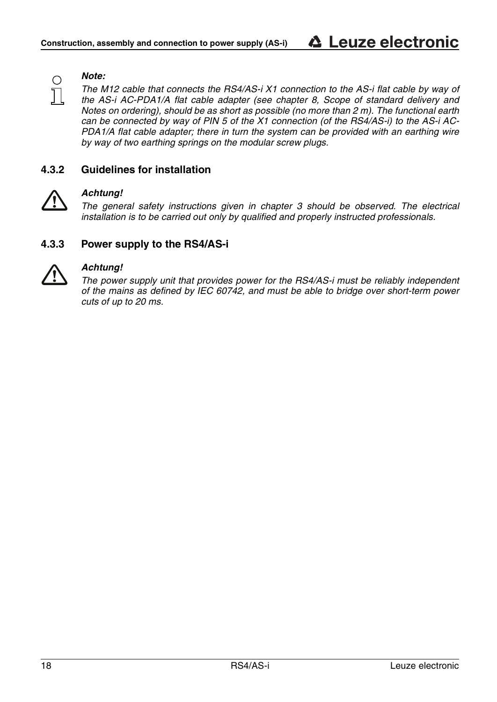### Ω

*The M12 cable that connects the RS4/AS-i X1 connection to the AS-i flat cable by way of the AS-i AC-PDA1/A flat cable adapter (see chapter 8, Scope of standard delivery and Notes on ordering), should be as short as possible (no more than 2 m). The functional earth can be connected by way of PIN 5 of the X1 connection (of the RS4/AS-i) to the AS-i AC-PDA1/A flat cable adapter; there in turn the system can be provided with an earthing wire by way of two earthing springs on the modular screw plugs.*

### <span id="page-17-0"></span>**4.3.2 Guidelines for installation**



### *Achtung!*

*Note:*

*The general safety instructions given in chapter [3](#page-9-0) should be observed. The electrical installation is to be carried out only by qualified and properly instructed professionals.* 

### <span id="page-17-1"></span>**4.3.3 Power supply to the RS4/AS-i**



### *Achtung!*

*The power supply unit that provides power for the RS4/AS-i must be reliably independent of the mains as defined by IEC 60742, and must be able to bridge over short-term power cuts of up to 20 ms.*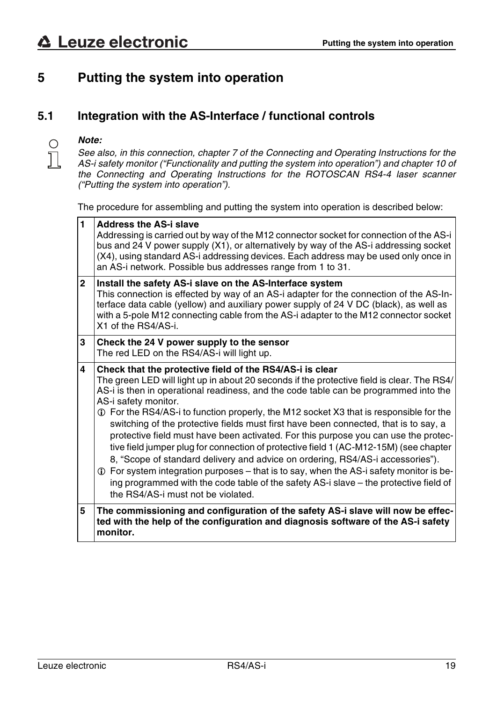### <span id="page-18-0"></span>**5 Putting the system into operation**

### <span id="page-18-1"></span>**5.1 Integration with the AS-Interface / functional controls**

### *Note:*

 $\frac{1}{2}$ 

*See also, in this connection, chapter 7 of the Connecting and Operating Instructions for the AS-i safety monitor ("Functionality and putting the system into operation") and chapter 10 of the Connecting and Operating Instructions for the ROTOSCAN RS4-4 laser scanner ("Putting the system into operation").* 

The procedure for assembling and putting the system into operation is described below:

| 1              | <b>Address the AS-i slave</b><br>Addressing is carried out by way of the M12 connector socket for connection of the AS-i<br>bus and 24 V power supply (X1), or alternatively by way of the AS-i addressing socket<br>(X4), using standard AS-i addressing devices. Each address may be used only once in<br>an AS-i network. Possible bus addresses range from 1 to 31.                                                                                                                                                                                                                                                                                                                                                                                                                                                                                                                                                                                     |
|----------------|-------------------------------------------------------------------------------------------------------------------------------------------------------------------------------------------------------------------------------------------------------------------------------------------------------------------------------------------------------------------------------------------------------------------------------------------------------------------------------------------------------------------------------------------------------------------------------------------------------------------------------------------------------------------------------------------------------------------------------------------------------------------------------------------------------------------------------------------------------------------------------------------------------------------------------------------------------------|
| $\overline{2}$ | Install the safety AS-i slave on the AS-Interface system<br>This connection is effected by way of an AS-i adapter for the connection of the AS-In-<br>terface data cable (yellow) and auxiliary power supply of 24 V DC (black), as well as<br>with a 5-pole M12 connecting cable from the AS-i adapter to the M12 connector socket<br>X1 of the RS4/AS-i.                                                                                                                                                                                                                                                                                                                                                                                                                                                                                                                                                                                                  |
| 3              | Check the 24 V power supply to the sensor<br>The red LED on the RS4/AS-i will light up.                                                                                                                                                                                                                                                                                                                                                                                                                                                                                                                                                                                                                                                                                                                                                                                                                                                                     |
| 4              | Check that the protective field of the RS4/AS-i is clear<br>The green LED will light up in about 20 seconds if the protective field is clear. The RS4/<br>AS-i is then in operational readiness, and the code table can be programmed into the<br>AS-i safety monitor.<br>1 For the RS4/AS-i to function properly, the M12 socket X3 that is responsible for the<br>switching of the protective fields must first have been connected, that is to say, a<br>protective field must have been activated. For this purpose you can use the protec-<br>tive field jumper plug for connection of protective field 1 (AC-M12-15M) (see chapter<br>8, "Scope of standard delivery and advice on ordering, RS4/AS-i accessories").<br>$\oplus$ For system integration purposes – that is to say, when the AS-i safety monitor is be-<br>ing programmed with the code table of the safety AS-i slave – the protective field of<br>the RS4/AS-i must not be violated. |
| 5              | The commissioning and configuration of the safety AS-i slave will now be effec-<br>ted with the help of the configuration and diagnosis software of the AS-i safety<br>monitor.                                                                                                                                                                                                                                                                                                                                                                                                                                                                                                                                                                                                                                                                                                                                                                             |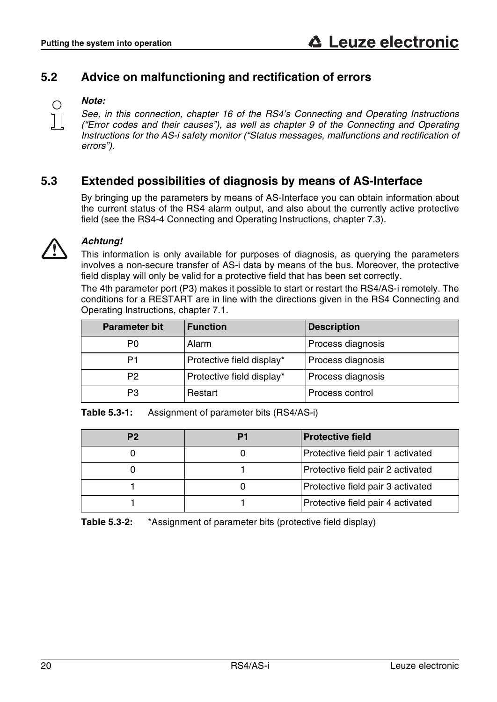### <span id="page-19-0"></span>**5.2 Advice on malfunctioning and rectification of errors**



### *Note:*

*See, in this connection, chapter 16 of the RS4's Connecting and Operating Instructions ("Error codes and their causes"), as well as chapter 9 of the Connecting and Operating Instructions for the AS-i safety monitor ("Status messages, malfunctions and rectification of errors").* 

### <span id="page-19-1"></span>**5.3 Extended possibilities of diagnosis by means of AS-Interface**

By bringing up the parameters by means of AS-Interface you can obtain information about the current status of the RS4 alarm output, and also about the currently active protective field (see the RS4-4 Connecting and Operating Instructions, chapter 7.3).



### *Achtung!*

This information is only available for purposes of diagnosis, as querying the parameters involves a non-secure transfer of AS-i data by means of the bus. Moreover, the protective field display will only be valid for a protective field that has been set correctly.

The 4th parameter port (P3) makes it possible to start or restart the RS4/AS-i remotely. The conditions for a RESTART are in line with the directions given in the RS4 Connecting and Operating Instructions, chapter 7.1.

| <b>Parameter bit</b> | <b>Function</b>           | <b>Description</b> |
|----------------------|---------------------------|--------------------|
| P <sub>0</sub>       | Alarm                     | Process diagnosis  |
| P1                   | Protective field display* | Process diagnosis  |
| P2                   | Protective field display* | Process diagnosis  |
| PЗ                   | Restart                   | Process control    |

**Table 5.3-1:** Assignment of parameter bits (RS4/AS-i)

| P2 | P1 | <b>Protective field</b>           |
|----|----|-----------------------------------|
|    |    | Protective field pair 1 activated |
|    |    | Protective field pair 2 activated |
|    |    | Protective field pair 3 activated |
|    |    | Protective field pair 4 activated |

**Table 5.3-2:** \*Assignment of parameter bits (protective field display)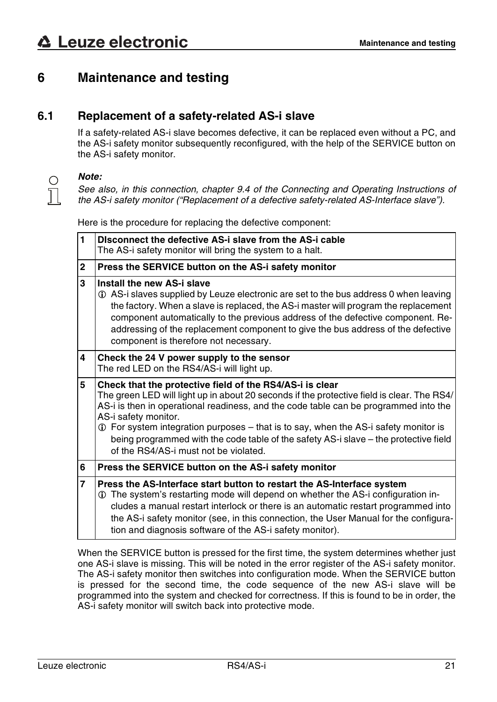### <span id="page-20-0"></span>**6 Maintenance and testing**

### <span id="page-20-1"></span>**6.1 Replacement of a safety-related AS-i slave**

If a safety-related AS-i slave becomes defective, it can be replaced even without a PC, and the AS-i safety monitor subsequently reconfigured, with the help of the SERVICE button on the AS-i safety monitor.



### *Note:*

*See also, in this connection, chapter 9.4 of the Connecting and Operating Instructions of the AS-i safety monitor ("Replacement of a defective safety-related AS-Interface slave").* 

Here is the procedure for replacing the defective component:

| 1 | Disconnect the defective AS-i slave from the AS-i cable<br>The AS-i safety monitor will bring the system to a halt.                                                                                                                                                                                                                                                                                                                                                                            |
|---|------------------------------------------------------------------------------------------------------------------------------------------------------------------------------------------------------------------------------------------------------------------------------------------------------------------------------------------------------------------------------------------------------------------------------------------------------------------------------------------------|
| 2 | Press the SERVICE button on the AS-i safety monitor                                                                                                                                                                                                                                                                                                                                                                                                                                            |
| 3 | Install the new AS-i slave<br>1) AS-i slaves supplied by Leuze electronic are set to the bus address 0 when leaving<br>the factory. When a slave is replaced, the AS-i master will program the replacement<br>component automatically to the previous address of the defective component. Re-<br>addressing of the replacement component to give the bus address of the defective<br>component is therefore not necessary.                                                                     |
| 4 | Check the 24 V power supply to the sensor<br>The red LED on the RS4/AS-i will light up.                                                                                                                                                                                                                                                                                                                                                                                                        |
| 5 | Check that the protective field of the RS4/AS-i is clear<br>The green LED will light up in about 20 seconds if the protective field is clear. The RS4/<br>AS-i is then in operational readiness, and the code table can be programmed into the<br>AS-i safety monitor.<br>1 For system integration purposes – that is to say, when the AS-i safety monitor is<br>being programmed with the code table of the safety AS-i slave – the protective field<br>of the RS4/AS-i must not be violated. |
| 6 | Press the SERVICE button on the AS-i safety monitor                                                                                                                                                                                                                                                                                                                                                                                                                                            |
| 7 | Press the AS-Interface start button to restart the AS-Interface system<br>10 The system's restarting mode will depend on whether the AS-i configuration in-<br>cludes a manual restart interlock or there is an automatic restart programmed into<br>the AS-i safety monitor (see, in this connection, the User Manual for the configura-<br>tion and diagnosis software of the AS-i safety monitor).                                                                                          |

When the SERVICE button is pressed for the first time, the system determines whether just one AS-i slave is missing. This will be noted in the error register of the AS-i safety monitor. The AS-i safety monitor then switches into configuration mode. When the SERVICE button is pressed for the second time, the code sequence of the new AS-i slave will be programmed into the system and checked for correctness. If this is found to be in order, the AS-i safety monitor will switch back into protective mode.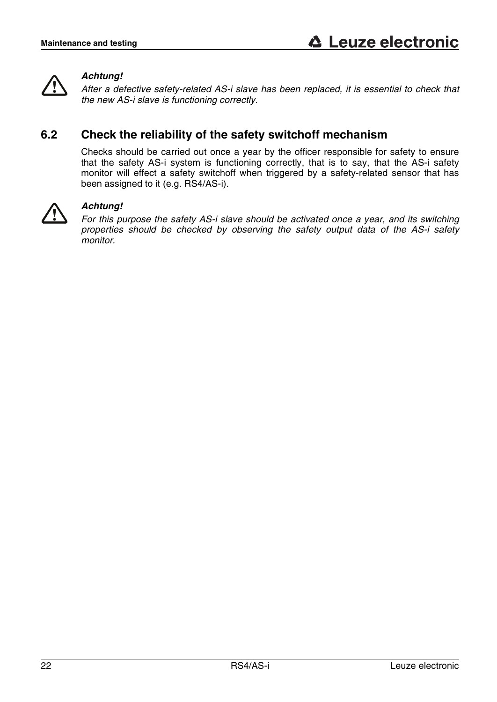

### *Achtung!*

*After a defective safety-related AS-i slave has been replaced, it is essential to check that the new AS-i slave is functioning correctly.* 

### <span id="page-21-0"></span>**6.2 Check the reliability of the safety switchoff mechanism**

Checks should be carried out once a year by the officer responsible for safety to ensure that the safety AS-i system is functioning correctly, that is to say, that the AS-i safety monitor will effect a safety switchoff when triggered by a safety-related sensor that has been assigned to it (e.g. RS4/AS-i).



### *Achtung!*

*For this purpose the safety AS-i slave should be activated once a year, and its switching properties should be checked by observing the safety output data of the AS-i safety monitor.*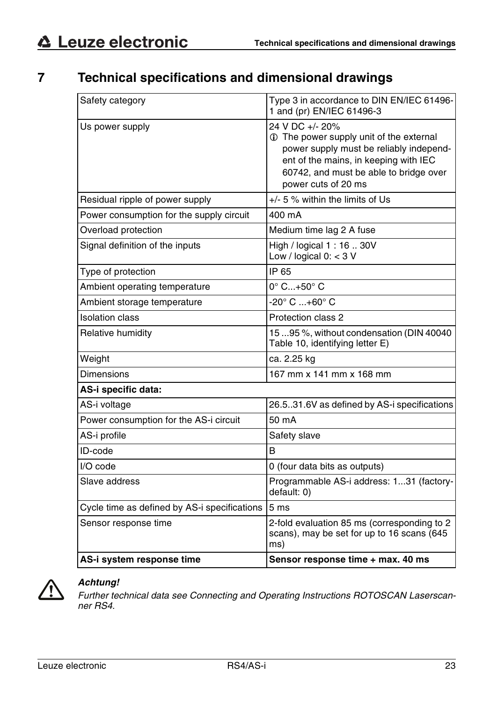### <span id="page-22-0"></span>**7 Technical specifications and dimensional drawings**

| Safety category                              | Type 3 in accordance to DIN EN/IEC 61496-<br>1 and (pr) EN/IEC 61496-3                                                                                                                                          |
|----------------------------------------------|-----------------------------------------------------------------------------------------------------------------------------------------------------------------------------------------------------------------|
| Us power supply                              | 24 V DC +/- 20%<br>1 The power supply unit of the external<br>power supply must be reliably independ-<br>ent of the mains, in keeping with IEC<br>60742, and must be able to bridge over<br>power cuts of 20 ms |
| Residual ripple of power supply              | +/- 5 % within the limits of Us                                                                                                                                                                                 |
| Power consumption for the supply circuit     | 400 mA                                                                                                                                                                                                          |
| Overload protection                          | Medium time lag 2 A fuse                                                                                                                                                                                        |
| Signal definition of the inputs              | High / logical 1:16  30V<br>Low / logical $0: < 3$ V                                                                                                                                                            |
| Type of protection                           | IP 65                                                                                                                                                                                                           |
| Ambient operating temperature                | $0^\circ$ C+50 $^\circ$ C                                                                                                                                                                                       |
| Ambient storage temperature                  | $-20^{\circ}$ C $+60^{\circ}$ C                                                                                                                                                                                 |
| <b>Isolation class</b>                       | Protection class 2                                                                                                                                                                                              |
| Relative humidity                            | 1595%, without condensation (DIN 40040<br>Table 10, identifying letter E)                                                                                                                                       |
| Weight                                       | ca. 2.25 kg                                                                                                                                                                                                     |
| <b>Dimensions</b>                            | 167 mm x 141 mm x 168 mm                                                                                                                                                                                        |
| AS-i specific data:                          |                                                                                                                                                                                                                 |
| AS-i voltage                                 | 26.531.6V as defined by AS-i specifications                                                                                                                                                                     |
| Power consumption for the AS-i circuit       | 50 mA                                                                                                                                                                                                           |
| AS-i profile                                 | Safety slave                                                                                                                                                                                                    |
| ID-code                                      | B                                                                                                                                                                                                               |
| $I/O$ code                                   | 0 (four data bits as outputs)                                                                                                                                                                                   |
| Slave address                                | Programmable AS-i address: 131 (factory-<br>default: 0)                                                                                                                                                         |
| Cycle time as defined by AS-i specifications | 5 <sub>ms</sub>                                                                                                                                                                                                 |
| Sensor response time                         | 2-fold evaluation 85 ms (corresponding to 2<br>scans), may be set for up to 16 scans (645<br>ms)                                                                                                                |
| AS-i system response time                    | Sensor response time + max. 40 ms                                                                                                                                                                               |



### *Achtung!*

*Further technical data see Connecting and Operating Instructions ROTOSCAN Laserscanner RS4.*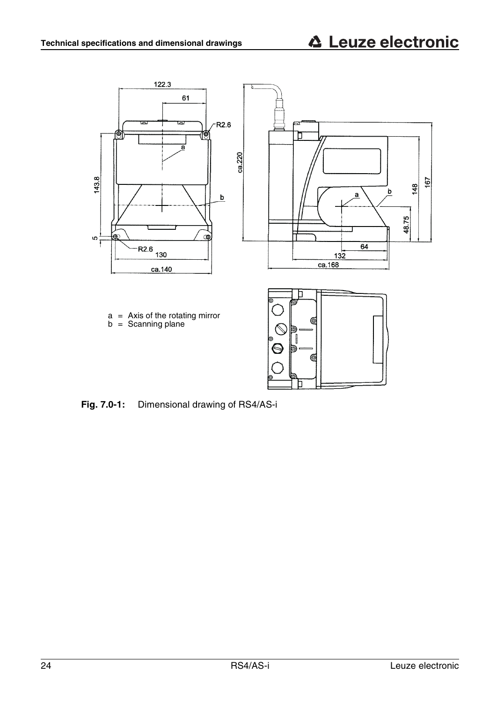

**Fig. 7.0-1:** Dimensional drawing of RS4/AS-i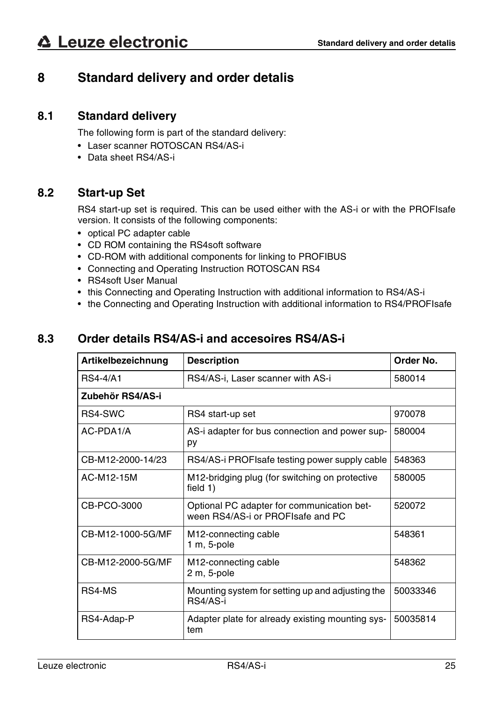### <span id="page-24-0"></span>**8 Standard delivery and order detalis**

### <span id="page-24-1"></span>**8.1 Standard delivery**

The following form is part of the standard delivery:

- Laser scanner ROTOSCAN RS4/AS-i
- Data sheet RS4/AS-i

### <span id="page-24-2"></span>**8.2 Start-up Set**

RS4 start-up set is required. This can be used either with the AS-i or with the PROFIsafe version. It consists of the following components:

- optical PC adapter cable
- CD ROM containing the RS4soft software
- CD-ROM with additional components for linking to PROFIBUS
- Connecting and Operating Instruction ROTOSCAN RS4
- RS4soft User Manual
- this Connecting and Operating Instruction with additional information to RS4/AS-i
- the Connecting and Operating Instruction with additional information to RS4/PROFIsafe

### <span id="page-24-3"></span>**8.3 Order details RS4/AS-i and accesoires RS4/AS-i**

| Artikelbezeichnung | <b>Description</b>                                                              | Order No. |  |  |
|--------------------|---------------------------------------------------------------------------------|-----------|--|--|
| <b>RS4-4/A1</b>    | RS4/AS-i, Laser scanner with AS-i                                               | 580014    |  |  |
| Zubehör RS4/AS-i   |                                                                                 |           |  |  |
| RS4-SWC            | RS4 start-up set                                                                | 970078    |  |  |
| AC-PDA1/A          | AS-i adapter for bus connection and power sup-<br>py                            | 580004    |  |  |
| CB-M12-2000-14/23  | RS4/AS-i PROFIsafe testing power supply cable                                   | 548363    |  |  |
| AC-M12-15M         | M <sub>12</sub> -bridging plug (for switching on protective<br>field $1)$       | 580005    |  |  |
| CB-PCO-3000        | Optional PC adapter for communication bet-<br>ween RS4/AS-i or PROFIsafe and PC | 520072    |  |  |
| CB-M12-1000-5G/MF  | M <sub>12</sub> -connecting cable<br>$1 m, 5-pole$                              | 548361    |  |  |
| CB-M12-2000-5G/MF  | M <sub>12</sub> -connecting cable<br>2 m, 5-pole                                | 548362    |  |  |
| RS4-MS             | Mounting system for setting up and adjusting the<br>RS4/AS-i                    | 50033346  |  |  |
| RS4-Adap-P         | Adapter plate for already existing mounting sys-<br>tem                         | 50035814  |  |  |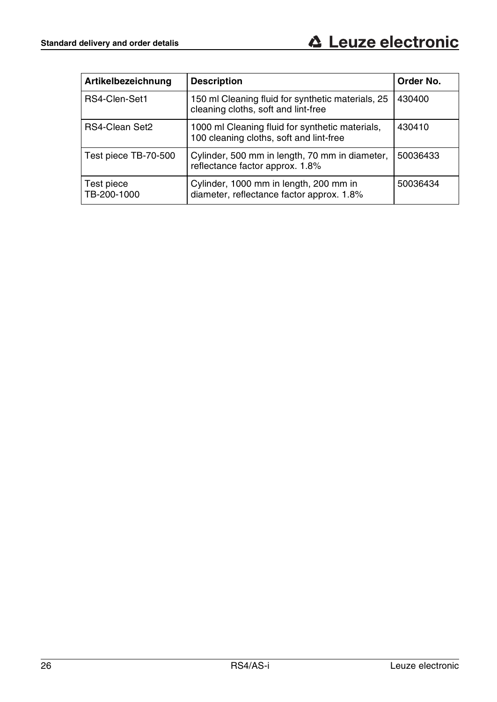| Artikelbezeichnung        | <b>Description</b>                                                                         | Order No. |
|---------------------------|--------------------------------------------------------------------------------------------|-----------|
| RS4-Clen-Set1             | 150 ml Cleaning fluid for synthetic materials, 25<br>cleaning cloths, soft and lint-free   | 430400    |
| RS4-Clean Set2            | 1000 ml Cleaning fluid for synthetic materials,<br>100 cleaning cloths, soft and lint-free | 430410    |
| Test piece TB-70-500      | Cylinder, 500 mm in length, 70 mm in diameter,<br>reflectance factor approx. 1.8%          | 50036433  |
| Test piece<br>TB-200-1000 | Cylinder, 1000 mm in length, 200 mm in<br>diameter, reflectance factor approx. 1.8%        | 50036434  |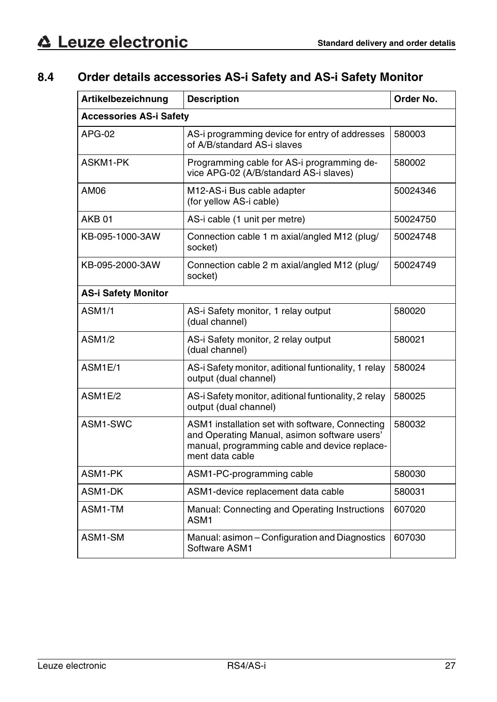### <span id="page-26-0"></span>**8.4 Order details accessories AS-i Safety and AS-i Safety Monitor**

| Artikelbezeichnung             | <b>Description</b>                                                                                                                                                  | Order No. |  |
|--------------------------------|---------------------------------------------------------------------------------------------------------------------------------------------------------------------|-----------|--|
| <b>Accessories AS-i Safety</b> |                                                                                                                                                                     |           |  |
| APG-02                         | AS-i programming device for entry of addresses<br>of A/B/standard AS-i slaves                                                                                       | 580003    |  |
| ASKM1-PK                       | Programming cable for AS-i programming de-<br>vice APG-02 (A/B/standard AS-i slaves)                                                                                | 580002    |  |
| AM06                           | M12-AS-i Bus cable adapter<br>(for yellow AS-i cable)                                                                                                               | 50024346  |  |
| AKB <sub>01</sub>              | AS-i cable (1 unit per metre)                                                                                                                                       | 50024750  |  |
| KB-095-1000-3AW                | Connection cable 1 m axial/angled M12 (plug/<br>socket)                                                                                                             | 50024748  |  |
| KB-095-2000-3AW                | Connection cable 2 m axial/angled M12 (plug/<br>socket)                                                                                                             | 50024749  |  |
| <b>AS-i Safety Monitor</b>     |                                                                                                                                                                     |           |  |
| <b>ASM1/1</b>                  | AS-i Safety monitor, 1 relay output<br>(dual channel)                                                                                                               | 580020    |  |
| <b>ASM1/2</b>                  | AS-i Safety monitor, 2 relay output<br>(dual channel)                                                                                                               | 580021    |  |
| ASM1E/1                        | AS-i Safety monitor, aditional funtionality, 1 relay<br>output (dual channel)                                                                                       | 580024    |  |
| ASM1E/2                        | AS-i Safety monitor, aditional funtionality, 2 relay<br>output (dual channel)                                                                                       | 580025    |  |
| ASM1-SWC                       | ASM1 installation set with software, Connecting<br>and Operating Manual, asimon software users'<br>manual, programming cable and device replace-<br>ment data cable | 580032    |  |
| ASM1-PK                        | ASM1-PC-programming cable                                                                                                                                           | 580030    |  |
| ASM1-DK                        | ASM1-device replacement data cable                                                                                                                                  | 580031    |  |
| ASM1-TM                        | Manual: Connecting and Operating Instructions<br>ASM <sub>1</sub>                                                                                                   | 607020    |  |
| ASM1-SM                        | Manual: asimon - Configuration and Diagnostics<br>Software ASM1                                                                                                     | 607030    |  |